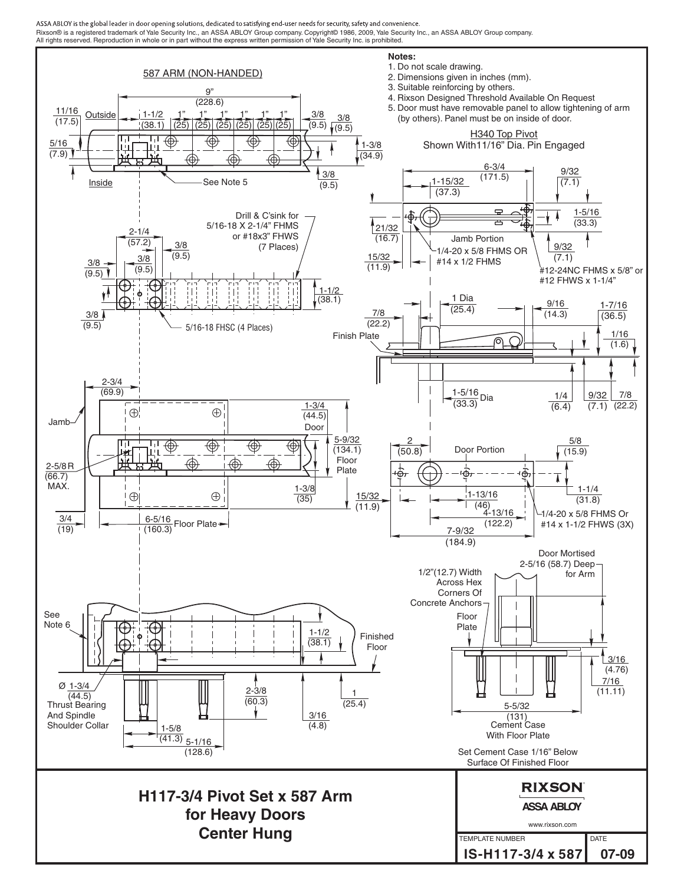ASSA ABLOY is the global leader in door opening solutions, dedicated to satisfying end-user needs for security, safety and convenience. Rixson® is a registered trademark of Yale Security Inc., an ASSA ABLOY Group company. Copyright© 1986, 2009, Yale Security Inc., an ASSA ABLOY Group company. All rights reserved. Reproduction in whole or in part without the express written permission of Yale Security Inc. is prohibited.